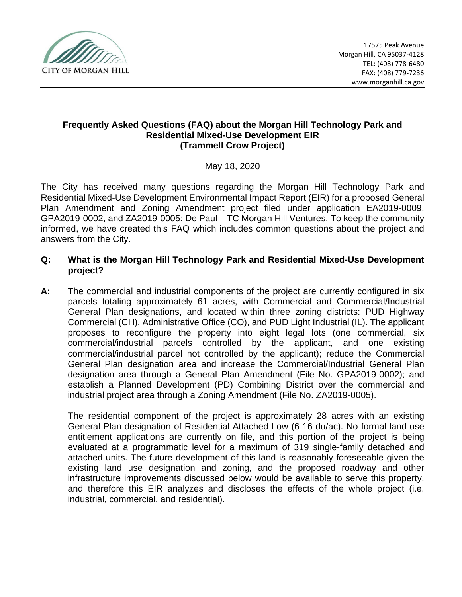

#### **Frequently Asked Questions (FAQ) about the Morgan Hill Technology Park and Residential Mixed-Use Development EIR (Trammell Crow Project)**

May 18, 2020

The City has received many questions regarding the Morgan Hill Technology Park and Residential Mixed-Use Development Environmental Impact Report (EIR) for a proposed General Plan Amendment and Zoning Amendment project filed under application EA2019-0009, GPA2019-0002, and ZA2019-0005: De Paul – TC Morgan Hill Ventures. To keep the community informed, we have created this FAQ which includes common questions about the project and answers from the City.

- **Q: What is the Morgan Hill Technology Park and Residential Mixed-Use Development project?**
- **A:** The commercial and industrial components of the project are currently configured in six parcels totaling approximately 61 acres, with Commercial and Commercial/Industrial General Plan designations, and located within three zoning districts: PUD Highway Commercial (CH), Administrative Office (CO), and PUD Light Industrial (IL). The applicant proposes to reconfigure the property into eight legal lots (one commercial, six commercial/industrial parcels controlled by the applicant, and one existing commercial/industrial parcel not controlled by the applicant); reduce the Commercial General Plan designation area and increase the Commercial/Industrial General Plan designation area through a General Plan Amendment (File No. GPA2019-0002); and establish a Planned Development (PD) Combining District over the commercial and industrial project area through a Zoning Amendment (File No. ZA2019-0005).

The residential component of the project is approximately 28 acres with an existing General Plan designation of Residential Attached Low (6-16 du/ac). No formal land use entitlement applications are currently on file, and this portion of the project is being evaluated at a programmatic level for a maximum of 319 single-family detached and attached units. The future development of this land is reasonably foreseeable given the existing land use designation and zoning, and the proposed roadway and other infrastructure improvements discussed below would be available to serve this property, and therefore this EIR analyzes and discloses the effects of the whole project (i.e. industrial, commercial, and residential).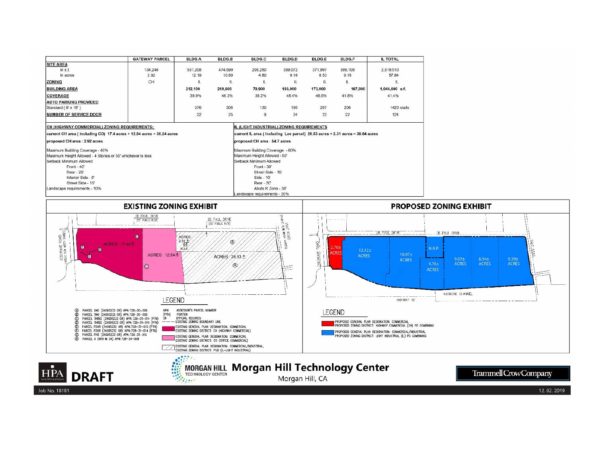|                                                                                                                                                                                                                                                                                                                                                                                                                                                                                                                                                                                                 | <b>GATEWAY PARCEL</b>                     | BLDG.A                                                                                                                                                                                                                                                                                                                                                | <b>BLDG.B</b> | BLDG.C                                                                                                                                                                                                                                                                                                       | <b>BLDG.D</b>   | <b>BLDG.E</b>                  | BLDG.F  | <b>IL TOTAL</b>                                                                                                                                              |                       |  |
|-------------------------------------------------------------------------------------------------------------------------------------------------------------------------------------------------------------------------------------------------------------------------------------------------------------------------------------------------------------------------------------------------------------------------------------------------------------------------------------------------------------------------------------------------------------------------------------------------|-------------------------------------------|-------------------------------------------------------------------------------------------------------------------------------------------------------------------------------------------------------------------------------------------------------------------------------------------------------------------------------------------------------|---------------|--------------------------------------------------------------------------------------------------------------------------------------------------------------------------------------------------------------------------------------------------------------------------------------------------------------|-----------------|--------------------------------|---------|--------------------------------------------------------------------------------------------------------------------------------------------------------------|-----------------------|--|
| <b>SITE AREA</b>                                                                                                                                                                                                                                                                                                                                                                                                                                                                                                                                                                                |                                           |                                                                                                                                                                                                                                                                                                                                                       |               |                                                                                                                                                                                                                                                                                                              |                 |                                |         |                                                                                                                                                              |                       |  |
| In s.f.                                                                                                                                                                                                                                                                                                                                                                                                                                                                                                                                                                                         | 134,246                                   | 531,208                                                                                                                                                                                                                                                                                                                                               | 474,599       | 209,280                                                                                                                                                                                                                                                                                                      | 399,072         | 371,997                        | 399,108 | 2,519.510                                                                                                                                                    |                       |  |
| In acres                                                                                                                                                                                                                                                                                                                                                                                                                                                                                                                                                                                        | 2.92                                      | 12.19                                                                                                                                                                                                                                                                                                                                                 | 10.89         | 4.80                                                                                                                                                                                                                                                                                                         | 9.16            | 8.53                           | 9.16    | 57.84                                                                                                                                                        |                       |  |
| <b>ZONING</b>                                                                                                                                                                                                                                                                                                                                                                                                                                                                                                                                                                                   | CH                                        | $\mathbf{u}$                                                                                                                                                                                                                                                                                                                                          | $\mathbf{u}$  | IL.                                                                                                                                                                                                                                                                                                          | IL.             | $\mathbf{H}$                   | IL      | $\mathbf{u}$                                                                                                                                                 |                       |  |
| <b>BUILDING AREA</b>                                                                                                                                                                                                                                                                                                                                                                                                                                                                                                                                                                            |                                           | 212,100                                                                                                                                                                                                                                                                                                                                               | 219,600       | 79,900                                                                                                                                                                                                                                                                                                       | 193,000         | 173,000                        | 167,000 | 1,044,600 s.f.                                                                                                                                               |                       |  |
| COVERAGE                                                                                                                                                                                                                                                                                                                                                                                                                                                                                                                                                                                        |                                           | 39.9%                                                                                                                                                                                                                                                                                                                                                 | 46.3%         | 38.2%                                                                                                                                                                                                                                                                                                        | 48.4%           | 46.5%                          | 41.8%   | 41.4%                                                                                                                                                        |                       |  |
| <b>AUTO PARKING PROVIDED</b>                                                                                                                                                                                                                                                                                                                                                                                                                                                                                                                                                                    |                                           |                                                                                                                                                                                                                                                                                                                                                       |               |                                                                                                                                                                                                                                                                                                              |                 |                                |         |                                                                                                                                                              |                       |  |
| Standard (9' x 18')                                                                                                                                                                                                                                                                                                                                                                                                                                                                                                                                                                             |                                           | 376                                                                                                                                                                                                                                                                                                                                                   | 306           | 130                                                                                                                                                                                                                                                                                                          | 195             | 207                            | 206     | 1420 stalls                                                                                                                                                  |                       |  |
| <b>NUMBER OF SERVICE DOOR</b>                                                                                                                                                                                                                                                                                                                                                                                                                                                                                                                                                                   |                                           | 22                                                                                                                                                                                                                                                                                                                                                    | 25            | 9                                                                                                                                                                                                                                                                                                            | 24              | 22                             | 22      | 124                                                                                                                                                          |                       |  |
| CH (HIGHWAY COMMERCIAL) ZONING REQUIREMENTS:                                                                                                                                                                                                                                                                                                                                                                                                                                                                                                                                                    | IL (LIGHT INDUSTRIAL) ZONING REQUIREMENTS |                                                                                                                                                                                                                                                                                                                                                       |               |                                                                                                                                                                                                                                                                                                              |                 |                                |         |                                                                                                                                                              |                       |  |
| current CH area (including CO) 17.4 acres + 12.84 acres = 30.24 acres                                                                                                                                                                                                                                                                                                                                                                                                                                                                                                                           |                                           |                                                                                                                                                                                                                                                                                                                                                       |               | current IL area (including Lee parcel) 28.53 acres + 2.31 acres = 30.84 acres                                                                                                                                                                                                                                |                 |                                |         |                                                                                                                                                              |                       |  |
| proposed CH area : 2.92 acres                                                                                                                                                                                                                                                                                                                                                                                                                                                                                                                                                                   |                                           |                                                                                                                                                                                                                                                                                                                                                       |               | proposed CH area : 54.7 acres                                                                                                                                                                                                                                                                                |                 |                                |         |                                                                                                                                                              |                       |  |
| Maximum Building Coverage - 40%                                                                                                                                                                                                                                                                                                                                                                                                                                                                                                                                                                 |                                           |                                                                                                                                                                                                                                                                                                                                                       |               | Maxmum Building Coverage - 60%                                                                                                                                                                                                                                                                               |                 |                                |         |                                                                                                                                                              |                       |  |
| Maximum Height Allowed - 4 Stories or 55' whichever is less                                                                                                                                                                                                                                                                                                                                                                                                                                                                                                                                     |                                           |                                                                                                                                                                                                                                                                                                                                                       |               | Maximum Height Allowed - 50'                                                                                                                                                                                                                                                                                 |                 |                                |         |                                                                                                                                                              |                       |  |
| Setback Minimum Allowed                                                                                                                                                                                                                                                                                                                                                                                                                                                                                                                                                                         |                                           |                                                                                                                                                                                                                                                                                                                                                       |               | Setback Minimum Allowed                                                                                                                                                                                                                                                                                      |                 |                                |         |                                                                                                                                                              |                       |  |
| Front - 40'                                                                                                                                                                                                                                                                                                                                                                                                                                                                                                                                                                                     |                                           |                                                                                                                                                                                                                                                                                                                                                       |               | Front - 30'                                                                                                                                                                                                                                                                                                  |                 |                                |         |                                                                                                                                                              |                       |  |
| Rear - 20'                                                                                                                                                                                                                                                                                                                                                                                                                                                                                                                                                                                      |                                           |                                                                                                                                                                                                                                                                                                                                                       |               | Street Side - 15"                                                                                                                                                                                                                                                                                            |                 |                                |         |                                                                                                                                                              |                       |  |
| Interior Side - 0"                                                                                                                                                                                                                                                                                                                                                                                                                                                                                                                                                                              |                                           |                                                                                                                                                                                                                                                                                                                                                       |               | Side - 10'<br>Rear - 20"                                                                                                                                                                                                                                                                                     |                 |                                |         |                                                                                                                                                              |                       |  |
|                                                                                                                                                                                                                                                                                                                                                                                                                                                                                                                                                                                                 | Street Side - 15'                         |                                                                                                                                                                                                                                                                                                                                                       |               |                                                                                                                                                                                                                                                                                                              |                 |                                |         |                                                                                                                                                              |                       |  |
| Landscape requirements - 10%                                                                                                                                                                                                                                                                                                                                                                                                                                                                                                                                                                    |                                           |                                                                                                                                                                                                                                                                                                                                                       |               | Abuts R Zone - 30'<br>Landscape requirements - 20%                                                                                                                                                                                                                                                           |                 |                                |         |                                                                                                                                                              |                       |  |
|                                                                                                                                                                                                                                                                                                                                                                                                                                                                                                                                                                                                 |                                           |                                                                                                                                                                                                                                                                                                                                                       |               |                                                                                                                                                                                                                                                                                                              |                 |                                |         |                                                                                                                                                              |                       |  |
| <b>EXISTING ZONING EXHIBIT</b>                                                                                                                                                                                                                                                                                                                                                                                                                                                                                                                                                                  |                                           |                                                                                                                                                                                                                                                                                                                                                       |               |                                                                                                                                                                                                                                                                                                              |                 | <b>PROPOSED ZONING EXHIBIT</b> |         |                                                                                                                                                              |                       |  |
| DE PAUL DRIVE<br>DE PAUL DRIVE<br>(55' PUBLIC R/W)<br>COCIRANE ROAD<br>$\blacksquare$<br>ACRES:<br>$^{2.31}$<br>$^{\circ}$<br>ACRES: 17.40±<br>п<br>N.AP<br>$\blacksquare$<br>ACRES: $12.84 \pm$<br>ACRES: 28.53 ±<br>O<br>⊛<br>$\circledcirc$<br>LEGEND<br>PARCEL ONE (24095232 OR) APN: 728-30-006<br>ASSESSOR'S PARCEL NUMBER<br>APN<br>8<br>PARCEL TWO (24095232 OR) APN: 728-30-009<br>(PTN)<br>PORTION<br>Õ<br>ÒR<br>OFFICIAL RECORDS<br>PARCEL THREE (24095232 OR) APN: 728-31-014 (PTN)<br>- Existing Zoning Boundary Line<br>PARCEL THREE (24095232 OR) APN: 728-31-015 (PTN)<br>$- -$ |                                           |                                                                                                                                                                                                                                                                                                                                                       |               | Ģ<br>ास)<br>पुरुष<br><u>DE PAUL DRIVE</u><br>喜喜<br>==<br><b>BOAD</b><br>$2.76 +$<br>12.12±<br><b>ACRES</b><br>COOLRANE<br>10.97±<br><b>ACRES</b><br><b>ACRES</b><br>HIGHWAY 101<br>LEGEND<br>PROPOSED GENERAL PLAN DESIGNATION: COMMERCIAL<br>PROPOSED ZONING DISTRICT: HIGHWAY COMMERCIAL (CH) PD COMBINING |                 |                                |         | DE_PAUL_DRIVE<br>N.A.P.<br>慣<br>$9.07 +$<br>$8.54 +$<br>$9.39 +$<br>4.76±<br><b>ACRES</b><br><b>ACRES</b><br><b>ACRES</b><br><b>ACRES</b><br>MADRONE CHANNEL |                       |  |
| Õ<br>PARCEL FOUR (24095232 OR) APN: 728-31-015 (PTN)<br>PARCEL FOUR (24095232 OR) APN: 728-31-014 (PTN)<br>Õ<br>PARCEL FIVE (24095232 OR) APN: 728-31-016<br>90<br>PARCEL A (669 M 34) APN: 728-30-008                                                                                                                                                                                                                                                                                                                                                                                          |                                           | EXISTING GENERAL PLAN DESIGNATION: COMMERCIAL<br>EXISTING ZONING DISTRICT: CH (HIGHWAY COMMERCIAL)<br>EXISTING GENERAL PLAN DESIGNATION: COMMERCIAL<br>EXISTING ZONING DISTRICT: CO (OFFICE COMMERCIAL)<br>EXISTING GENERAL PLAN DESIGNATION: COMMERCIAL/INDUSTRIAL,<br>EXISTING ZONING DISTRICT: PUD (IL-LIGHT INDUSTRIAL)<br><b>MORGAN HILL</b><br> |               | <b>Morgan Hill Technology Center</b>                                                                                                                                                                                                                                                                         |                 |                                |         | PROPOSED GENERAL PLAN DESIGNATION: COMMERCIAL/INDUSTRIAL<br>proposed zoning district: Light Industrial (IL) pd combining                                     |                       |  |
| HP/<br><b>DRAFT</b>                                                                                                                                                                                                                                                                                                                                                                                                                                                                                                                                                                             | 00                                        | <b>TECHNOLOGY CENTER</b><br>$\mathcal{F}_{\mathcal{L}}(\mathbf{y},\mathbf{y},t)$                                                                                                                                                                                                                                                                      |               |                                                                                                                                                                                                                                                                                                              | Morgan Hill, CA |                                |         |                                                                                                                                                              | Trammell Crow Company |  |

Job No. 18181

12.02.2019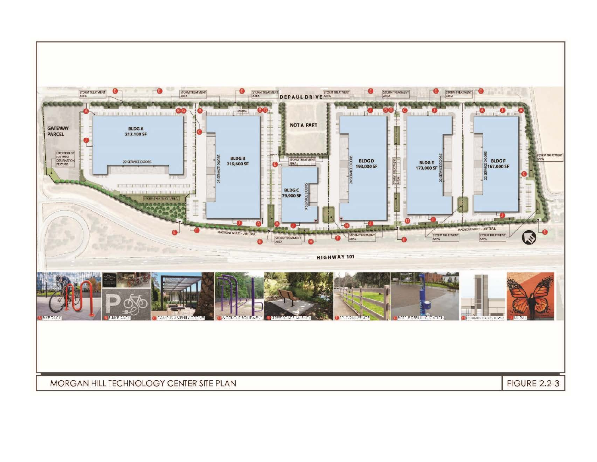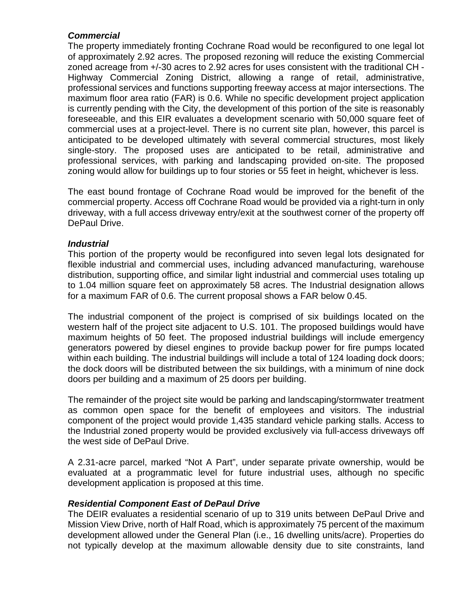#### *Commercial*

The property immediately fronting Cochrane Road would be reconfigured to one legal lot of approximately 2.92 acres. The proposed rezoning will reduce the existing Commercial zoned acreage from +/-30 acres to 2.92 acres for uses consistent with the traditional CH - Highway Commercial Zoning District, allowing a range of retail, administrative, professional services and functions supporting freeway access at major intersections. The maximum floor area ratio (FAR) is 0.6. While no specific development project application is currently pending with the City, the development of this portion of the site is reasonably foreseeable, and this EIR evaluates a development scenario with 50,000 square feet of commercial uses at a project-level. There is no current site plan, however, this parcel is anticipated to be developed ultimately with several commercial structures, most likely single-story. The proposed uses are anticipated to be retail, administrative and professional services, with parking and landscaping provided on-site. The proposed zoning would allow for buildings up to four stories or 55 feet in height, whichever is less.

The east bound frontage of Cochrane Road would be improved for the benefit of the commercial property. Access off Cochrane Road would be provided via a right-turn in only driveway, with a full access driveway entry/exit at the southwest corner of the property off DePaul Drive.

#### *Industrial*

This portion of the property would be reconfigured into seven legal lots designated for flexible industrial and commercial uses, including advanced manufacturing, warehouse distribution, supporting office, and similar light industrial and commercial uses totaling up to 1.04 million square feet on approximately 58 acres. The Industrial designation allows for a maximum FAR of 0.6. The current proposal shows a FAR below 0.45.

The industrial component of the project is comprised of six buildings located on the western half of the project site adjacent to U.S. 101. The proposed buildings would have maximum heights of 50 feet. The proposed industrial buildings will include emergency generators powered by diesel engines to provide backup power for fire pumps located within each building. The industrial buildings will include a total of 124 loading dock doors; the dock doors will be distributed between the six buildings, with a minimum of nine dock doors per building and a maximum of 25 doors per building.

The remainder of the project site would be parking and landscaping/stormwater treatment as common open space for the benefit of employees and visitors. The industrial component of the project would provide 1,435 standard vehicle parking stalls. Access to the Industrial zoned property would be provided exclusively via full-access driveways off the west side of DePaul Drive.

A 2.31-acre parcel, marked "Not A Part", under separate private ownership, would be evaluated at a programmatic level for future industrial uses, although no specific development application is proposed at this time.

#### *Residential Component East of DePaul Drive*

The DEIR evaluates a residential scenario of up to 319 units between DePaul Drive and Mission View Drive, north of Half Road, which is approximately 75 percent of the maximum development allowed under the General Plan (i.e., 16 dwelling units/acre). Properties do not typically develop at the maximum allowable density due to site constraints, land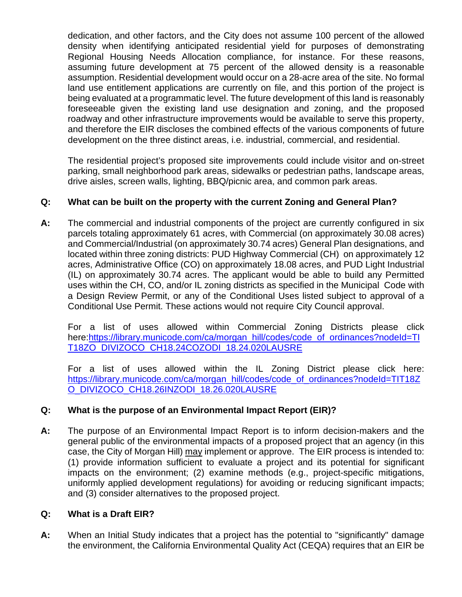dedication, and other factors, and the City does not assume 100 percent of the allowed density when identifying anticipated residential yield for purposes of demonstrating Regional Housing Needs Allocation compliance, for instance. For these reasons, assuming future development at 75 percent of the allowed density is a reasonable assumption. Residential development would occur on a 28-acre area of the site. No formal land use entitlement applications are currently on file, and this portion of the project is being evaluated at a programmatic level. The future development of this land is reasonably foreseeable given the existing land use designation and zoning, and the proposed roadway and other infrastructure improvements would be available to serve this property, and therefore the EIR discloses the combined effects of the various components of future development on the three distinct areas, i.e. industrial, commercial, and residential.

The residential project's proposed site improvements could include visitor and on-street parking, small neighborhood park areas, sidewalks or pedestrian paths, landscape areas, drive aisles, screen walls, lighting, BBQ/picnic area, and common park areas.

## **Q: What can be built on the property with the current Zoning and General Plan?**

**A:** The commercial and industrial components of the project are currently configured in six parcels totaling approximately 61 acres, with Commercial (on approximately 30.08 acres) and Commercial/Industrial (on approximately 30.74 acres) General Plan designations, and located within three zoning districts: PUD Highway Commercial (CH) on approximately 12 acres, Administrative Office (CO) on approximately 18.08 acres, and PUD Light Industrial (IL) on approximately 30.74 acres. The applicant would be able to build any Permitted uses within the CH, CO, and/or IL zoning districts as specified in the Municipal Code with a Design Review Permit, or any of the Conditional Uses listed subject to approval of a Conditional Use Permit. These actions would not require City Council approval.

For a list of uses allowed within Commercial Zoning Districts please click here[:https://library.municode.com/ca/morgan\\_hill/codes/code\\_of\\_ordinances?nodeId=TI](https://library.municode.com/ca/morgan_hill/codes/code_of_ordinances?nodeId=TIT18ZO_DIVIZOCO_CH18.24COZODI_18.24.020LAUSRE) [T18ZO\\_DIVIZOCO\\_CH18.24COZODI\\_18.24.020LAUSRE](https://library.municode.com/ca/morgan_hill/codes/code_of_ordinances?nodeId=TIT18ZO_DIVIZOCO_CH18.24COZODI_18.24.020LAUSRE)

For a list of uses allowed within the IL Zoning District please click here: [https://library.municode.com/ca/morgan\\_hill/codes/code\\_of\\_ordinances?nodeId=TIT18Z](https://library.municode.com/ca/morgan_hill/codes/code_of_ordinances?nodeId=TIT18ZO_DIVIZOCO_CH18.26INZODI_18.26.020LAUSRE) [O\\_DIVIZOCO\\_CH18.26INZODI\\_18.26.020LAUSRE](https://library.municode.com/ca/morgan_hill/codes/code_of_ordinances?nodeId=TIT18ZO_DIVIZOCO_CH18.26INZODI_18.26.020LAUSRE)

## **Q: What is the purpose of an Environmental Impact Report (EIR)?**

**A:** The purpose of an Environmental Impact Report is to inform decision-makers and the general public of the environmental impacts of a proposed project that an agency (in this case, the City of Morgan Hill) may implement or approve. The EIR process is intended to: (1) provide information sufficient to evaluate a project and its potential for significant impacts on the environment; (2) examine methods (e.g., project-specific mitigations, uniformly applied development regulations) for avoiding or reducing significant impacts; and (3) consider alternatives to the proposed project.

#### **Q: What is a Draft EIR?**

**A:** When an Initial Study indicates that a project has the potential to "significantly" damage the environment, the California Environmental Quality Act (CEQA) requires that an EIR be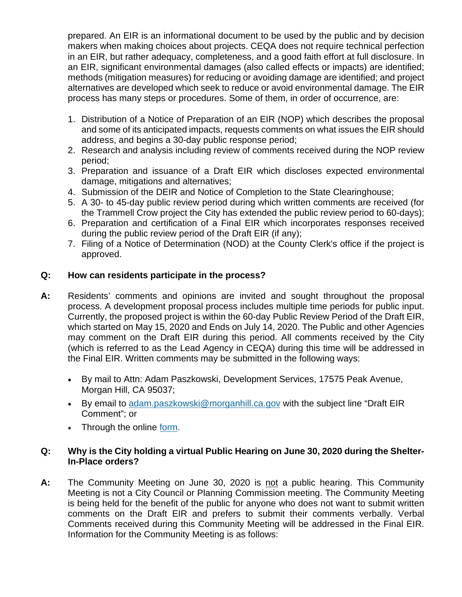prepared. An EIR is an informational document to be used by the public and by decision makers when making choices about projects. CEQA does not require technical perfection in an EIR, but rather adequacy, completeness, and a good faith effort at full disclosure. In an EIR, significant environmental damages (also called effects or impacts) are identified; methods (mitigation measures) for reducing or avoiding damage are identified; and project alternatives are developed which seek to reduce or avoid environmental damage. The EIR process has many steps or procedures. Some of them, in order of occurrence, are:

- 1. Distribution of a Notice of Preparation of an EIR (NOP) which describes the proposal and some of its anticipated impacts, requests comments on what issues the EIR should address, and begins a 30-day public response period;
- 2. Research and analysis including review of comments received during the NOP review period;
- 3. Preparation and issuance of a Draft EIR which discloses expected environmental damage, mitigations and alternatives;
- 4. Submission of the DEIR and Notice of Completion to the State Clearinghouse;
- 5. A 30- to 45-day public review period during which written comments are received (for the Trammell Crow project the City has extended the public review period to 60-days);
- 6. Preparation and certification of a Final EIR which incorporates responses received during the public review period of the Draft EIR (if any);
- 7. Filing of a Notice of Determination (NOD) at the County Clerk's office if the project is approved.

## **Q: How can residents participate in the process?**

- **A:** Residents' comments and opinions are invited and sought throughout the proposal process. A development proposal process includes multiple time periods for public input. Currently, the proposed project is within the 60-day Public Review Period of the Draft EIR, which started on May 15, 2020 and Ends on July 14, 2020. The Public and other Agencies may comment on the Draft EIR during this period. All comments received by the City (which is referred to as the Lead Agency in CEQA) during this time will be addressed in the Final EIR. Written comments may be submitted in the following ways:
	- By mail to Attn: Adam Paszkowski, Development Services, 17575 Peak Avenue, Morgan Hill, CA 95037;
	- By email to [adam.paszkowski@morganhill.ca.gov](mailto:adam.paszkowski@morganhill.ca.gov) with the subject line "Draft EIR Comment"; or
	- Through the online [form.](https://www.morgan-hill.ca.gov/FormCenter/Development-Services-20/De-Paul-TC-Morgan-Hill-Ventures-Draft-EI-175)

#### **Q: Why is the City holding a virtual Public Hearing on June 30, 2020 during the Shelter-In-Place orders?**

**A:** The Community Meeting on June 30, 2020 is not a public hearing. This Community Meeting is not a City Council or Planning Commission meeting. The Community Meeting is being held for the benefit of the public for anyone who does not want to submit written comments on the Draft EIR and prefers to submit their comments verbally. Verbal Comments received during this Community Meeting will be addressed in the Final EIR. Information for the Community Meeting is as follows: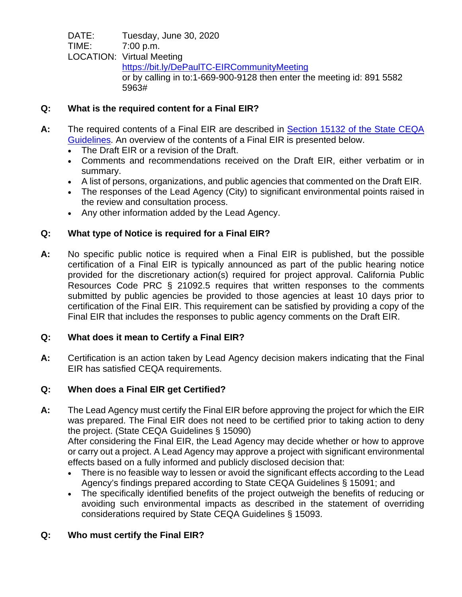DATE: Tuesday, June 30, 2020 TIME: 7:00 p.m. LOCATION: Virtual Meeting <https://bit.ly/DePaulTC-EIRCommunityMeeting> or by calling in to:1-669-900-9128 then enter the meeting id: 891 5582 5963#

# **Q: What is the required content for a Final EIR?**

- **A:** The required contents of a Final EIR are described in [Section 15132 of the State CEQA](https://govt.westlaw.com/calregs/Document/IBA7E1740D48811DEBC02831C6D6C108E?viewType=FullText&originationContext=documenttoc&transitionType=CategoryPageItem&contextData=(sc.Default))  [Guidelines.](https://govt.westlaw.com/calregs/Document/IBA7E1740D48811DEBC02831C6D6C108E?viewType=FullText&originationContext=documenttoc&transitionType=CategoryPageItem&contextData=(sc.Default)) An overview of the contents of a Final EIR is presented below.
	- The Draft EIR or a revision of the Draft.
	- Comments and recommendations received on the Draft EIR, either verbatim or in summary.
	- A list of persons, organizations, and public agencies that commented on the Draft EIR.
	- The responses of the Lead Agency (City) to significant environmental points raised in the review and consultation process.
	- Any other information added by the Lead Agency.

# **Q: What type of Notice is required for a Final EIR?**

**A:** No specific public notice is required when a Final EIR is published, but the possible certification of a Final EIR is typically announced as part of the public hearing notice provided for the discretionary action(s) required for project approval. California Public Resources Code PRC § 21092.5 requires that written responses to the comments submitted by public agencies be provided to those agencies at least 10 days prior to certification of the Final EIR. This requirement can be satisfied by providing a copy of the Final EIR that includes the responses to public agency comments on the Draft EIR.

## **Q: What does it mean to Certify a Final EIR?**

**A:** Certification is an action taken by Lead Agency decision makers indicating that the Final EIR has satisfied CEQA requirements.

## **Q: When does a Final EIR get Certified?**

**A:** The Lead Agency must certify the Final EIR before approving the project for which the EIR was prepared. The Final EIR does not need to be certified prior to taking action to deny the project. (State CEQA Guidelines § 15090) After considering the Final EIR, the Lead Agency may decide whether or how to approve or carry out a project. A Lead Agency may approve a project with significant environmental

effects based on a fully informed and publicly disclosed decision that:

- There is no feasible way to lessen or avoid the significant effects according to the Lead Agency's findings prepared according to State CEQA Guidelines § 15091; and
- The specifically identified benefits of the project outweigh the benefits of reducing or avoiding such environmental impacts as described in the statement of overriding considerations required by State CEQA Guidelines § 15093.

## **Q: Who must certify the Final EIR?**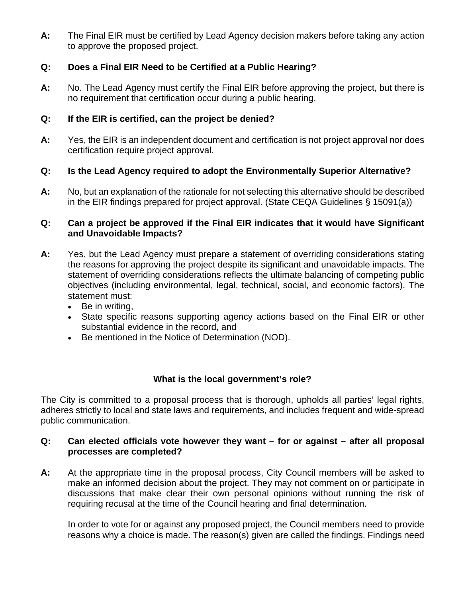**A:** The Final EIR must be certified by Lead Agency decision makers before taking any action to approve the proposed project.

## **Q: Does a Final EIR Need to be Certified at a Public Hearing?**

**A:** No. The Lead Agency must certify the Final EIR before approving the project, but there is no requirement that certification occur during a public hearing.

#### **Q: If the EIR is certified, can the project be denied?**

**A:** Yes, the EIR is an independent document and certification is not project approval nor does certification require project approval.

## **Q: Is the Lead Agency required to adopt the Environmentally Superior Alternative?**

**A:** No, but an explanation of the rationale for not selecting this alternative should be described in the EIR findings prepared for project approval. (State CEQA Guidelines § 15091(a))

#### **Q: Can a project be approved if the Final EIR indicates that it would have Significant and Unavoidable Impacts?**

- **A:** Yes, but the Lead Agency must prepare a statement of overriding considerations stating the reasons for approving the project despite its significant and unavoidable impacts. The statement of overriding considerations reflects the ultimate balancing of competing public objectives (including environmental, legal, technical, social, and economic factors). The statement must:
	- Be in writing,
	- State specific reasons supporting agency actions based on the Final EIR or other substantial evidence in the record, and
	- Be mentioned in the Notice of Determination (NOD).

#### **What is the local government's role?**

The City is committed to a proposal process that is thorough, upholds all parties' legal rights, adheres strictly to local and state laws and requirements, and includes frequent and wide-spread public communication.

#### **Q: Can elected officials vote however they want – for or against – after all proposal processes are completed?**

**A:** At the appropriate time in the proposal process, City Council members will be asked to make an informed decision about the project. They may not comment on or participate in discussions that make clear their own personal opinions without running the risk of requiring recusal at the time of the Council hearing and final determination.

In order to vote for or against any proposed project, the Council members need to provide reasons why a choice is made. The reason(s) given are called the findings. Findings need